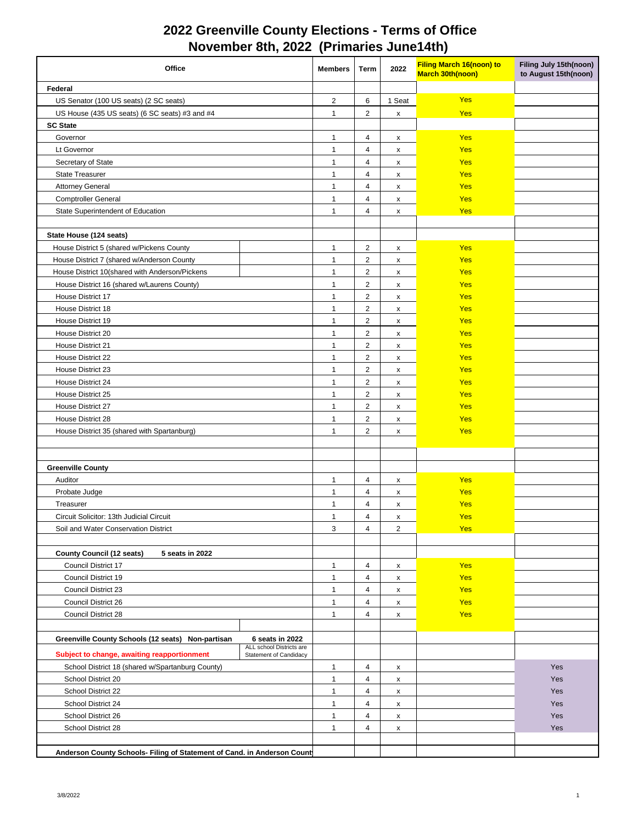| Office                                                                  |                                                    | <b>Members</b> | Term                    | 2022               | <b>Filing March 16(noon) to</b><br><b>March 30th(noon)</b> | Filing July 15th(noon)<br>to August 15th(noon) |
|-------------------------------------------------------------------------|----------------------------------------------------|----------------|-------------------------|--------------------|------------------------------------------------------------|------------------------------------------------|
| Federal                                                                 |                                                    |                |                         |                    |                                                            |                                                |
| US Senator (100 US seats) (2 SC seats)                                  |                                                    | $\overline{c}$ | 6                       | 1 Seat             | <b>Yes</b>                                                 |                                                |
| US House (435 US seats) (6 SC seats) #3 and #4                          |                                                    | $\mathbf{1}$   | $\overline{2}$          | $\pmb{\mathsf{x}}$ | <b>Yes</b>                                                 |                                                |
| <b>SC State</b>                                                         |                                                    |                |                         |                    |                                                            |                                                |
| Governor                                                                |                                                    | $\mathbf{1}$   | 4                       | X                  | Yes                                                        |                                                |
| Lt Governor                                                             |                                                    | $\mathbf{1}$   | $\overline{4}$          | X                  | Yes                                                        |                                                |
| Secretary of State                                                      |                                                    | $\mathbf{1}$   | $\overline{4}$          | X                  | Yes                                                        |                                                |
| <b>State Treasurer</b>                                                  |                                                    | $\mathbf{1}$   | $\overline{4}$          | x                  | Yes                                                        |                                                |
| <b>Attorney General</b>                                                 |                                                    | $\mathbf{1}$   | 4                       | x                  | Yes                                                        |                                                |
| <b>Comptroller General</b>                                              |                                                    | $\overline{1}$ | $\overline{4}$          | x                  | Yes                                                        |                                                |
| State Superintendent of Education                                       |                                                    | $\overline{1}$ | $\overline{4}$          | $\pmb{\times}$     | Yes                                                        |                                                |
| State House (124 seats)                                                 |                                                    |                |                         |                    |                                                            |                                                |
| House District 5 (shared w/Pickens County                               |                                                    | $\mathbf{1}$   | $\overline{\mathbf{c}}$ | X                  | Yes                                                        |                                                |
| House District 7 (shared w/Anderson County                              |                                                    | $\mathbf{1}$   | $\overline{2}$          | X                  | Yes                                                        |                                                |
| House District 10(shared with Anderson/Pickens                          |                                                    | $\mathbf{1}$   | $\overline{2}$          | $\pmb{\mathsf{x}}$ | <b>Yes</b>                                                 |                                                |
| House District 16 (shared w/Laurens County)                             |                                                    | $\mathbf{1}$   | $\overline{2}$          | X                  | Yes                                                        |                                                |
| House District 17                                                       |                                                    | $\mathbf{1}$   | $\overline{2}$          | X                  | Yes                                                        |                                                |
| House District 18                                                       |                                                    | $\mathbf{1}$   | $\overline{2}$          | $\pmb{\chi}$       | Yes                                                        |                                                |
| House District 19                                                       |                                                    | $\mathbf{1}$   | $\overline{c}$          | X                  | Yes                                                        |                                                |
| House District 20                                                       |                                                    | $\mathbf{1}$   | $\overline{c}$          | X                  | Yes                                                        |                                                |
| House District 21                                                       |                                                    | $\mathbf{1}$   | $\overline{c}$          | X                  | Yes                                                        |                                                |
| House District 22                                                       |                                                    | $\mathbf{1}$   | $\overline{2}$          | X                  | Yes                                                        |                                                |
| House District 23                                                       |                                                    | $\mathbf{1}$   | $\overline{2}$          | $\pmb{\mathsf{x}}$ | Yes                                                        |                                                |
| House District 24                                                       |                                                    | $\mathbf{1}$   | $\overline{c}$          | x                  | <b>Yes</b>                                                 |                                                |
| House District 25                                                       |                                                    | $\mathbf{1}$   | $\overline{2}$          | X                  | <b>Yes</b>                                                 |                                                |
| House District 27                                                       |                                                    | $\mathbf{1}$   | $\overline{c}$          | X                  | Yes                                                        |                                                |
| House District 28                                                       |                                                    | $\mathbf{1}$   | $\overline{2}$          | $\pmb{\mathsf{x}}$ | Yes                                                        |                                                |
| House District 35 (shared with Spartanburg)                             |                                                    | $\mathbf{1}$   | $\overline{2}$          | $\pmb{\mathsf{x}}$ | Yes                                                        |                                                |
|                                                                         |                                                    |                |                         |                    |                                                            |                                                |
|                                                                         |                                                    |                |                         |                    |                                                            |                                                |
| <b>Greenville County</b>                                                |                                                    |                |                         |                    |                                                            |                                                |
| Auditor                                                                 |                                                    | $\mathbf{1}$   | 4                       | x                  | Yes                                                        |                                                |
| Probate Judge                                                           |                                                    | $\mathbf{1}$   | 4                       | x                  | <b>Yes</b>                                                 |                                                |
| Treasurer                                                               |                                                    | $\mathbf{1}$   | 4                       | x                  | <b>Yes</b>                                                 |                                                |
| Circuit Solicitor: 13th Judicial Circuit                                |                                                    | $\mathbf{1}$   | $\overline{4}$          | $\pmb{\times}$     | <b>Yes</b>                                                 |                                                |
| Soil and Water Conservation District                                    |                                                    | 3              | 4                       | 2                  | Yes                                                        |                                                |
|                                                                         |                                                    |                |                         |                    |                                                            |                                                |
| <b>County Council (12 seats)</b><br>5 seats in 2022                     |                                                    |                |                         |                    |                                                            |                                                |
| Council District 17                                                     |                                                    | $\mathbf{1}$   | 4                       | X                  | Yes                                                        |                                                |
| Council District 19                                                     |                                                    | $\mathbf{1}$   | 4                       | X                  | Yes                                                        |                                                |
| Council District 23                                                     |                                                    | $\mathbf{1}$   | 4                       | X                  | Yes                                                        |                                                |
| Council District 26                                                     |                                                    | $\mathbf{1}$   | 4                       | X                  | Yes                                                        |                                                |
| Council District 28                                                     |                                                    | $\mathbf{1}$   | 4                       | X                  | Yes                                                        |                                                |
|                                                                         |                                                    |                |                         |                    |                                                            |                                                |
| Greenville County Schools (12 seats) Non-partisan                       | 6 seats in 2022                                    |                |                         |                    |                                                            |                                                |
| Subject to change, awaiting reapportionment                             | ALL school Districts are<br>Statement of Candidacy |                |                         |                    |                                                            |                                                |
| School District 18 (shared w/Spartanburg County)                        |                                                    | $\mathbf{1}$   | 4                       | x                  |                                                            | Yes                                            |
| School District 20                                                      |                                                    | $\mathbf{1}$   | $\overline{\mathbf{4}}$ | $\pmb{\mathsf{x}}$ |                                                            | Yes                                            |
| School District 22                                                      |                                                    | $\overline{1}$ | $\overline{4}$          | X                  |                                                            | Yes                                            |
| School District 24                                                      |                                                    | $\mathbf{1}$   | $\overline{\mathbf{4}}$ | X                  |                                                            | Yes                                            |
| School District 26                                                      |                                                    | $\mathbf{1}$   | 4                       | X                  |                                                            | Yes                                            |
| School District 28                                                      |                                                    | $\mathbf{1}$   | 4                       | X                  |                                                            | Yes                                            |
|                                                                         |                                                    |                |                         |                    |                                                            |                                                |
| Anderson County Schools- Filing of Statement of Cand. in Anderson Count |                                                    |                |                         |                    |                                                            |                                                |

## **2022 Greenville County Elections - Terms of Office November 8th, 2022 (Primaries June14th)**